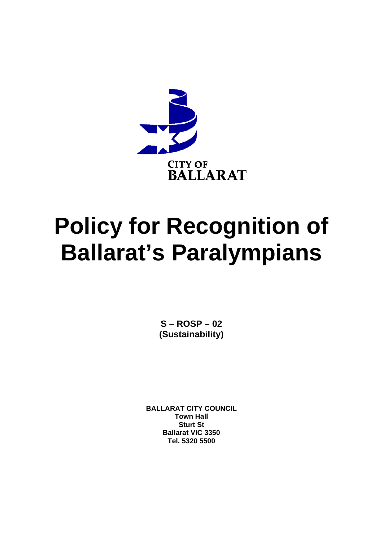

# **Policy for Recognition of Ballarat's Paralympians**

 $S - ROSP - 02$ (Sustainability)

**BALLARAT CITY COUNCIL Town Hall Sturt St Ballarat VIC 3350** Tel. 5320 5500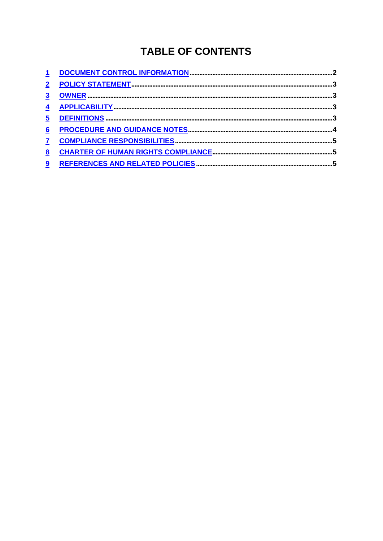# **TABLE OF CONTENTS**

| $\overline{\mathbf{5}}$ |  |
|-------------------------|--|
| $6\phantom{1}6$         |  |
|                         |  |
| 8                       |  |
| 9                       |  |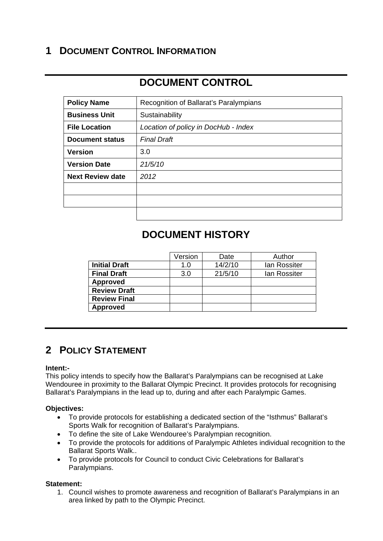### **1 DOCUMENT CONTROL INFORMATION**

## **DOCUMENT CONTROL**

| <b>Policy Name</b>      | Recognition of Ballarat's Paralympians |
|-------------------------|----------------------------------------|
| <b>Business Unit</b>    | Sustainability                         |
| <b>File Location</b>    | Location of policy in DocHub - Index   |
| <b>Document status</b>  | <b>Final Draft</b>                     |
| <b>Version</b>          | 3.0                                    |
| <b>Version Date</b>     | 21/5/10                                |
| <b>Next Review date</b> | 2012                                   |
|                         |                                        |
|                         |                                        |
|                         |                                        |

## **DOCUMENT HISTORY**

|                      | Version | Date    | Author       |
|----------------------|---------|---------|--------------|
| <b>Initial Draft</b> | 1.0     | 14/2/10 | lan Rossiter |
| <b>Final Draft</b>   | 3.0     | 21/5/10 | lan Rossiter |
| <b>Approved</b>      |         |         |              |
| <b>Review Draft</b>  |         |         |              |
| <b>Review Final</b>  |         |         |              |
| <b>Approved</b>      |         |         |              |

## **2 POLICY STATEMENT**

#### **Intent:-**

This policy intends to specify how the Ballarat's Paralympians can be recognised at Lake Wendouree in proximity to the Ballarat Olympic Precinct. It provides protocols for recognising Ballarat's Paralympians in the lead up to, during and after each Paralympic Games.

#### **Objectives:**

- To provide protocols for establishing a dedicated section of the "Isthmus" Ballarat's Sports Walk for recognition of Ballarat's Paralympians.
- To define the site of Lake Wendouree's Paralympian recognition.
- To provide the protocols for additions of Paralympic Athletes individual recognition to the Ballarat Sports Walk..
- To provide protocols for Council to conduct Civic Celebrations for Ballarat's Paralympians.

#### **Statement:**

1. Council wishes to promote awareness and recognition of Ballarat's Paralympians in an area linked by path to the Olympic Precinct.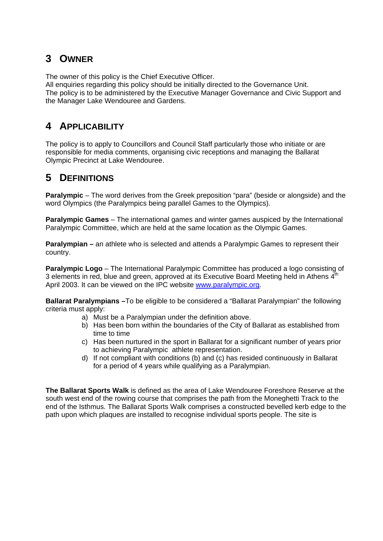#### **3 OWNER**

The owner of this policy is the Chief Executive Officer.

All enquiries regarding this policy should be initially directed to the Governance Unit. The policy is to be administered by the Executive Manager Governance and Civic Support and the Manager Lake Wendouree and Gardens.

#### **4 APPLICABILITY**

The policy is to apply to Councillors and Council Staff particularly those who initiate or are responsible for media comments, organising civic receptions and managing the Ballarat Olympic Precinct at Lake Wendouree.

## **5 DEFINITIONS**

**Paralympic** – The word derives from the Greek preposition "para" (beside or alongside) and the word Olympics (the Paralympics being parallel Games to the Olympics).

**Paralympic Games** – The international games and winter games auspiced by the International Paralympic Committee, which are held at the same location as the Olympic Games.

**Paralympian – an athlete who is selected and attends a Paralympic Games to represent their** country.

**Paralympic Logo** – The International Paralympic Committee has produced a logo consisting of 3 elements in red, blue and green, approved at its Executive Board Meeting held in Athens  $4<sup>th</sup>$ April 2003. It can be viewed on the IPC website www.paralympic.org.

**Ballarat Paralympians –**To be eligible to be considered a "Ballarat Paralympian" the following criteria must apply:

- a) Must be a Paralympian under the definition above.
- b) Has been born within the boundaries of the City of Ballarat as established from time to time
- c) Has been nurtured in the sport in Ballarat for a significant number of years prior to achieving Paralympic athlete representation.
- d) If not compliant with conditions (b) and (c) has resided continuously in Ballarat for a period of 4 years while qualifying as a Paralympian.

**The Ballarat Sports Walk** is defined as the area of Lake Wendouree Foreshore Reserve at the south west end of the rowing course that comprises the path from the Moneghetti Track to the end of the Isthmus. The Ballarat Sports Walk comprises a constructed bevelled kerb edge to the path upon which plaques are installed to recognise individual sports people. The site is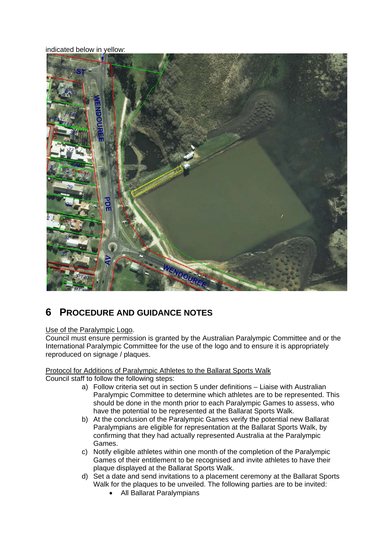indicated below in yellow:



## **6 PROCEDURE AND GUIDANCE NOTES**

#### Use of the Paralympic Logo*.*

Council must ensure permission is granted by the Australian Paralympic Committee and or the International Paralympic Committee for the use of the logo and to ensure it is appropriately reproduced on signage / plaques.

#### Protocol for Additions of Paralympic Athletes to the Ballarat Sports Walk Council staff to follow the following steps:

- a) Follow criteria set out in section 5 under definitions Liaise with Australian Paralympic Committee to determine which athletes are to be represented. This should be done in the month prior to each Paralympic Games to assess, who have the potential to be represented at the Ballarat Sports Walk.
- b) At the conclusion of the Paralympic Games verify the potential new Ballarat Paralympians are eligible for representation at the Ballarat Sports Walk, by confirming that they had actually represented Australia at the Paralympic Games.
- c) Notify eligible athletes within one month of the completion of the Paralympic Games of their entitlement to be recognised and invite athletes to have their plaque displayed at the Ballarat Sports Walk.
- d) Set a date and send invitations to a placement ceremony at the Ballarat Sports Walk for the plaques to be unveiled. The following parties are to be invited:
	- All Ballarat Paralympians